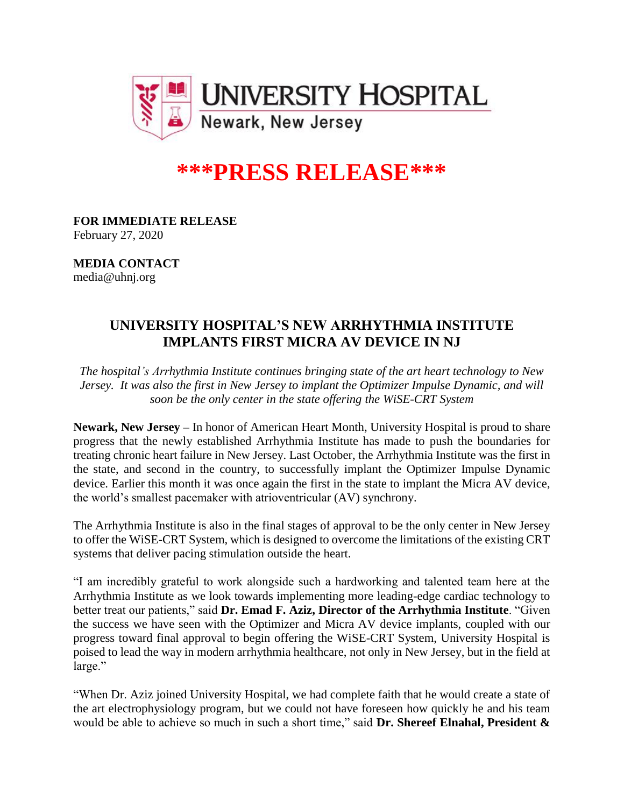

## **\*\*\*PRESS RELEASE\*\*\***

**FOR IMMEDIATE RELEASE** February 27, 2020

**MEDIA CONTACT** media@uhnj.org

## **UNIVERSITY HOSPITAL'S NEW ARRHYTHMIA INSTITUTE IMPLANTS FIRST MICRA AV DEVICE IN NJ**

*The hospital's Arrhythmia Institute continues bringing state of the art heart technology to New Jersey. It was also the first in New Jersey to implant the Optimizer Impulse Dynamic, and will soon be the only center in the state offering the WiSE-CRT System*

**Newark, New Jersey –** In honor of American Heart Month, University Hospital is proud to share progress that the newly established Arrhythmia Institute has made to push the boundaries for treating chronic heart failure in New Jersey. Last October, the Arrhythmia Institute was the first in the state, and second in the country, to successfully implant the Optimizer Impulse Dynamic device. Earlier this month it was once again the first in the state to implant the Micra AV device, the world's smallest pacemaker with atrioventricular (AV) synchrony.

The Arrhythmia Institute is also in the final stages of approval to be the only center in New Jersey to offer the WiSE-CRT System, which is designed to overcome the limitations of the existing CRT systems that deliver pacing stimulation outside the heart.

"I am incredibly grateful to work alongside such a hardworking and talented team here at the Arrhythmia Institute as we look towards implementing more leading-edge cardiac technology to better treat our patients," said **Dr. Emad F. Aziz, Director of the Arrhythmia Institute**. "Given the success we have seen with the Optimizer and Micra AV device implants, coupled with our progress toward final approval to begin offering the WiSE-CRT System, University Hospital is poised to lead the way in modern arrhythmia healthcare, not only in New Jersey, but in the field at large."

"When Dr. Aziz joined University Hospital, we had complete faith that he would create a state of the art electrophysiology program, but we could not have foreseen how quickly he and his team would be able to achieve so much in such a short time," said **Dr. Shereef Elnahal, President &**